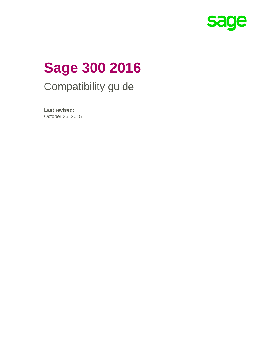

# **Sage 300 2016**  Compatibility guide

**Last revised:**  October 26, 2015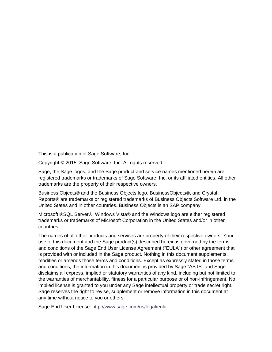This is a publication of Sage Software, Inc.

Copyright © 2015. Sage Software, Inc. All rights reserved.

Sage, the Sage logos, and the Sage product and service names mentioned herein are registered trademarks or trademarks of Sage Software, Inc. or its affiliated entities. All other trademarks are the property of their respective owners.

Business Objects® and the Business Objects logo, BusinessObjects®, and Crystal Reports® are trademarks or registered trademarks of Business Objects Software Ltd. in the United States and in other countries. Business Objects is an SAP company.

Microsoft ®SQL Server®, Windows Vista® and the Windows logo are either registered trademarks or trademarks of Microsoft Corporation in the United States and/or in other countries.

The names of all other products and services are property of their respective owners. Your use of this document and the Sage product(s) described herein is governed by the terms and conditions of the Sage End User License Agreement ("EULA") or other agreement that is provided with or included in the Sage product. Nothing in this document supplements, modifies or amends those terms and conditions. Except as expressly stated in those terms and conditions, the information in this document is provided by Sage "AS IS" and Sage disclaims all express, implied or statutory warranties of any kind, including but not limited to the warranties of merchantability, fitness for a particular purpose or of non-infringement. No implied license is granted to you under any Sage intellectual property or trade secret right. Sage reserves the right to revise, supplement or remove information in this document at any time without notice to you or others.

Sage End User License: http://www.sage.com/us/legal/eula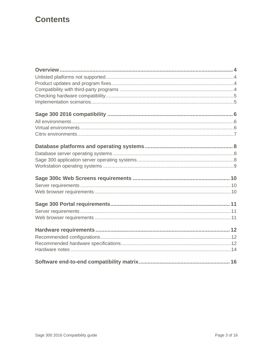# **Contents**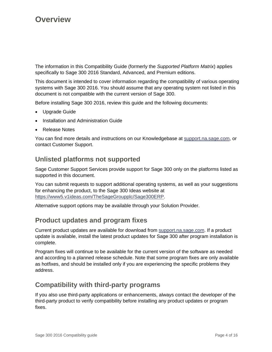The information in this Compatibility Guide (formerly the *Supported Platform Matrix*) applies specifically to Sage 300 2016 Standard, Advanced, and Premium editions.

This document is intended to cover information regarding the compatibility of various operating systems with Sage 300 2016. You should assume that any operating system not listed in this document is not compatible with the current version of Sage 300.

Before installing Sage 300 2016, review this guide and the following documents:

- Upgrade Guide
- Installation and Administration Guide
- Release Notes

You can find more details and instructions on our Knowledgebase at support.na.sage.com, or contact Customer Support.

#### **Unlisted platforms not supported**

Sage Customer Support Services provide support for Sage 300 only on the platforms listed as supported in this document.

You can submit requests to support additional operating systems, as well as your suggestions for enhancing the product, to the Sage 300 Ideas website at https://www5.v1ideas.com/TheSageGroupplc/Sage300ERP.

Alternative support options may be available through your Solution Provider.

## **Product updates and program fixes**

Current product updates are available for download from support.na.sage.com. If a product update is available, install the latest product updates for Sage 300 after program installation is complete.

Program fixes will continue to be available for the current version of the software as needed and according to a planned release schedule. Note that some program fixes are only available as hotfixes, and should be installed only if you are experiencing the specific problems they address.

#### **Compatibility with third-party programs**

If you also use third-party applications or enhancements, always contact the developer of the third-party product to verify compatibility before installing any product updates or program fixes.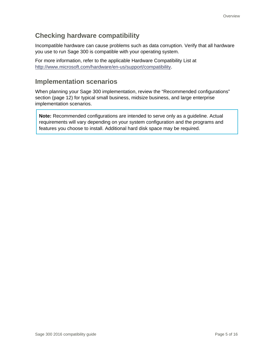## **Checking hardware compatibility**

Incompatible hardware can cause problems such as data corruption. Verify that all hardware you use to run Sage 300 is compatible with your operating system.

For more information, refer to the applicable Hardware Compatibility List at http://www.microsoft.com/hardware/en-us/support/compatibility.

## **Implementation scenarios**

When planning your Sage 300 implementation, review the "Recommended configurations" section (page 12) for typical small business, midsize business, and large enterprise implementation scenarios.

**Note:** Recommended configurations are intended to serve only as a guideline. Actual requirements will vary depending on your system configuration and the programs and features you choose to install. Additional hard disk space may be required.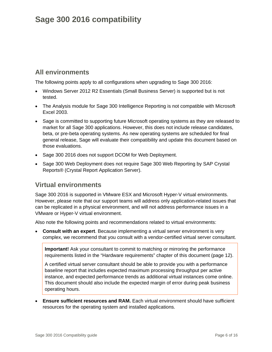# **Sage 300 2016 compatibility**

## **All environments**

The following points apply to all configurations when upgrading to Sage 300 2016:

- Windows Server 2012 R2 Essentials (Small Business Server) is supported but is not tested.
- The Analysis module for Sage 300 Intelligence Reporting is not compatible with Microsoft Excel 2003.
- Sage is committed to supporting future Microsoft operating systems as they are released to market for all Sage 300 applications. However, this does not include release candidates, beta, or pre-beta operating systems. As new operating systems are scheduled for final general release, Sage will evaluate their compatibility and update this document based on those evaluations.
- Sage 300 2016 does not support DCOM for Web Deployment.
- Sage 300 Web Deployment does not require Sage 300 Web Reporting by SAP Crystal Reports® (Crystal Report Application Server).

## **Virtual environments**

Sage 300 2016 is supported in VMware ESX and Microsoft Hyper-V virtual environments. However, please note that our support teams will address only application-related issues that can be replicated in a physical environment, and will not address performance issues in a VMware or Hyper-V virtual environment.

Also note the following points and recommendations related to virtual environments:

 **Consult with an expert**. Because implementing a virtual server environment is very complex, we recommend that you consult with a vendor-certified virtual server consultant.

**Important!** Ask your consultant to commit to matching or mirroring the performance requirements listed in the "Hardware requirements" chapter of this document (page 12).

A certified virtual server consultant should be able to provide you with a performance baseline report that includes expected maximum processing throughput per active instance, and expected performance trends as additional virtual instances come online. This document should also include the expected margin of error during peak business operating hours.

 **Ensure sufficient resources and RAM.** Each virtual environment should have sufficient resources for the operating system and installed applications.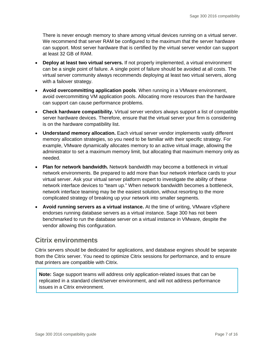There is never enough memory to share among virtual devices running on a virtual server. We recommend that server RAM be configured to the maximum that the server hardware can support. Most server hardware that is certified by the virtual server vendor can support at least 32 GB of RAM.

- **Deploy at least two virtual servers.** If not properly implemented, a virtual environment can be a single point of failure. A single point of failure should be avoided at all costs. The virtual server community always recommends deploying at least two virtual servers, along with a failover strategy.
- **Avoid overcommitting application pools**. When running in a VMware environment, avoid overcommitting VM application pools. Allocating more resources than the hardware can support can cause performance problems.
- **Check hardware compatibility.** Virtual server vendors always support a list of compatible server hardware devices. Therefore, ensure that the virtual server your firm is considering is on the hardware compatibility list.
- **Understand memory allocation.** Each virtual server vendor implements vastly different memory allocation strategies, so you need to be familiar with their specific strategy. For example, VMware dynamically allocates memory to an active virtual image, allowing the administrator to set a maximum memory limit, but allocating that maximum memory only as needed.
- **Plan for network bandwidth.** Network bandwidth may become a bottleneck in virtual network environments. Be prepared to add more than four network interface cards to your virtual server. Ask your virtual server platform expert to investigate the ability of these network interface devices to "team up." When network bandwidth becomes a bottleneck, network interface teaming may be the easiest solution, without resorting to the more complicated strategy of breaking up your network into smaller segments.
- **Avoid running servers as a virtual instance.** At the time of writing, VMware vSphere endorses running database servers as a virtual instance. Sage 300 has not been benchmarked to run the database server on a virtual instance in VMware, despite the vendor allowing this configuration.

## **Citrix environments**

Citrix servers should be dedicated for applications, and database engines should be separate from the Citrix server. You need to optimize Citrix sessions for performance, and to ensure that printers are compatible with Citrix.

**Note:** Sage support teams will address only application-related issues that can be replicated in a standard client/server environment, and will not address performance issues in a Citrix environment.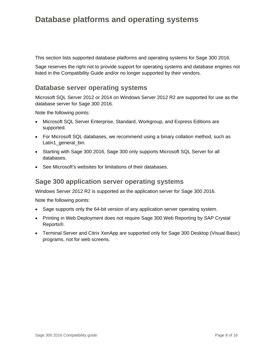# **Database platforms and operating systems**

This section lists supported database platforms and operating systems for Sage 300 2016.

Sage reserves the right not to provide support for operating systems and database engines not listed in the Compatibility Guide and/or no longer supported by their vendors.

#### **Database server operating systems**

Microsoft SQL Server 2012 or 2014 on Windows Server 2012 R2 are supported for use as the database server for Sage 300 2016.

Note the following points:

- Microsoft SQL Server Enterprise, Standard, Workgroup, and Express Editions are supported.
- For Microsoft SQL databases, we recommend using a binary collation method, such as Latin1\_general\_bin.
- Starting with Sage 300 2016, Sage 300 only supports Microsoft SQL Server for all databases.
- See Microsoft's websites for limitations of their databases.

#### **Sage 300 application server operating systems**

Windows Server 2012 R2 is supported as the application server for Sage 300 2016.

Note the following points:

- Sage supports only the 64-bit version of any application server operating system.
- Printing in Web Deployment does not require Sage 300 Web Reporting by SAP Crystal Reports®.
- Terminal Server and Citrix XenApp are supported only for Sage 300 Desktop (Visual Basic) programs, not for web screens.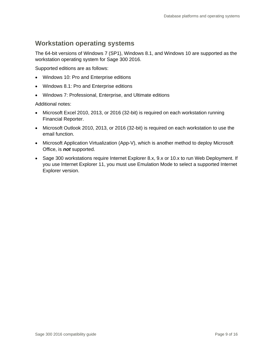## **Workstation operating systems**

The 64-bit versions of Windows 7 (SP1), Windows 8.1, and Windows 10 are supported as the workstation operating system for Sage 300 2016.

Supported editions are as follows:

- Windows 10: Pro and Enterprise editions
- Windows 8.1: Pro and Enterprise editions
- Windows 7: Professional, Enterprise, and Ultimate editions

Additional notes:

- Microsoft Excel 2010, 2013, or 2016 (32-bit) is required on each workstation running Financial Reporter.
- Microsoft Outlook 2010, 2013, or 2016 (32-bit) is required on each workstation to use the email function.
- Microsoft Application Virtualization (App-V), which is another method to deploy Microsoft Office, is *not* supported.
- Sage 300 workstations require Internet Explorer 8.x, 9.x or 10.x to run Web Deployment. If you use Internet Explorer 11, you must use Emulation Mode to select a supported Internet Explorer version.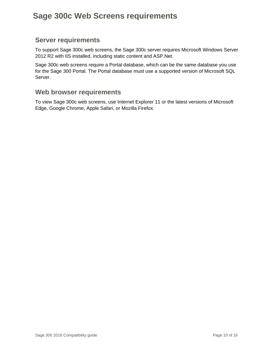# **Sage 300c Web Screens requirements**

#### **Server requirements**

To support Sage 300c web screens, the Sage 300c server requires Microsoft Windows Server 2012 R2 with IIS installed, including static content and ASP.Net.

Sage 300c web screens require a Portal database, which can be the same database you use for the Sage 300 Portal. The Portal database must use a supported version of Microsoft SQL Server.

#### **Web browser requirements**

To view Sage 300c web screens, use Internet Explorer 11 or the latest versions of Microsoft Edge, Google Chrome, Apple Safari, or Mozilla Firefox.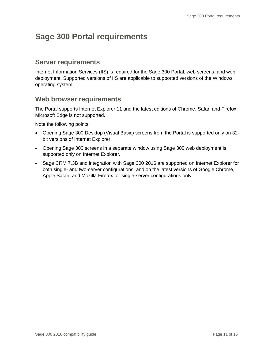# **Sage 300 Portal requirements**

#### **Server requirements**

Internet Information Services (IIS) is required for the Sage 300 Portal, web screens, and web deployment. Supported versions of IIS are applicable to supported versions of the Windows operating system.

#### **Web browser requirements**

The Portal supports Internet Explorer 11 and the latest editions of Chrome, Safari and Firefox. Microsoft Edge is not supported.

Note the following points:

- Opening Sage 300 Desktop (Visual Basic) screens from the Portal is supported only on 32 bit versions of Internet Explorer.
- Opening Sage 300 screens in a separate window using Sage 300 web deployment is supported only on Internet Explorer.
- Sage CRM 7.3B and integration with Sage 300 2016 are supported on Internet Explorer for both single- and two-server configurations, and on the latest versions of Google Chrome, Apple Safari, and Mozilla Firefox for single-server configurations only.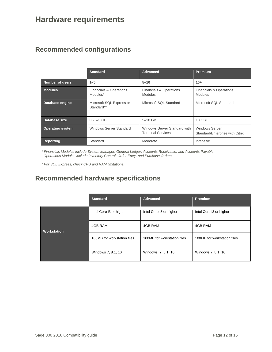# **Hardware requirements**

## **Recommended configurations**

|                         | <b>Standard</b>                                | Advanced                                                 | <b>Premium</b>                                           |
|-------------------------|------------------------------------------------|----------------------------------------------------------|----------------------------------------------------------|
| <b>Number of users</b>  | $1 - 5$                                        | $5 - 10$                                                 | $10+$                                                    |
| <b>Modules</b>          | <b>Financials &amp; Operations</b><br>Modules* | <b>Financials &amp; Operations</b><br><b>Modules</b>     |                                                          |
| Database engine         | Microsoft SQL Express or<br>Standard**         | Microsoft SQL Standard                                   |                                                          |
| Database size           | $5-10$ GB<br>$0.25 - 5$ GB                     |                                                          | $10$ GB+                                                 |
| <b>Operating system</b> | <b>Windows Server Standard</b>                 | Windows Server Standard with<br><b>Terminal Services</b> | <b>Windows Server</b><br>Standard/Enterprise with Citrix |
| <b>Reporting</b>        | Standard                                       | Moderate                                                 | Intensive                                                |

*\* Financials Modules include System Manager, General Ledger, Accounts Receivable, and Accounts Payable. Operations Modules include Inventory Control, Order Entry, and Purchase Orders.* 

*\* For SQL Express, check CPU and RAM limitations.* 

## **Recommended hardware specifications**

|                    | <b>Standard</b>             | Advanced                    | <b>Premium</b>              |
|--------------------|-----------------------------|-----------------------------|-----------------------------|
| <b>Workstation</b> | Intel Core i3 or higher     | Intel Core i3 or higher     | Intel Core i3 or higher     |
|                    | 4GB RAM<br>4GB RAM          |                             | 4GB RAM                     |
|                    | 100MB for workstation files | 100MB for workstation files | 100MB for workstation files |
|                    | Windows 7, 8.1, 10          | Windows 7, 8.1, 10          | Windows 7, 8.1, 10          |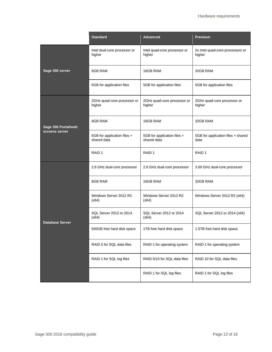|                        | <b>Standard</b><br><b>Advanced</b>         |                                                            | <b>Premium</b>                             |
|------------------------|--------------------------------------------|------------------------------------------------------------|--------------------------------------------|
| Sage 300 server        | Intel dual-core processor or<br>higher     | Intel quad-core processor or<br>higher                     | 2x Intel quad-core processors or<br>higher |
|                        | 8GB RAM                                    | 16GB RAM                                                   | 32GB RAM                                   |
|                        | 5GB for application files                  | 5GB for application files                                  | 5GB for application files                  |
|                        | 2GHz quad-core processor or<br>higher      | 2GHz quad-core processor or<br>higher                      | 2GHz quad-core processor or<br>higher      |
| Sage 300 Portal/web    | 8GB RAM                                    | 16GB RAM                                                   | 32GB RAM                                   |
| screens server         | 5GB for application files +<br>shared data | 5GB for application files +<br>shared data                 | 5GB for application files + shared<br>data |
|                        | RAID <sub>1</sub>                          | RAID <sub>1</sub>                                          | RAID <sub>1</sub>                          |
|                        | 2.6 GHz dual-core processor                | 2.6 GHz dual-core processor                                | 3.00 GHz dual-core processor               |
|                        | 8GB RAM                                    | 16GB RAM                                                   | 32GB RAM                                   |
| <b>Database Server</b> | Windows Server 2012 R2<br>(x64)            | Windows Server 2012 R2<br>(x64)                            | Windows Server 2012 R2 (x64)               |
|                        | SQL Server 2012 or 2014<br>(x64)           | SQL Server 2012 or 2014<br>(x64)                           | SQL Server 2012 or 2014 (x64)              |
|                        | 500GB free hard disk space                 | 1TB free hard disk space                                   | 1.5TB free hard disk space                 |
|                        | RAID 5 for SQL data files                  | RAID 1 for operating system                                | RAID 1 for operating system                |
|                        | RAID 1 for SQL log files                   | RAID 5/10 for SQL data files<br>RAID 10 for SQL data files |                                            |
|                        |                                            | RAID 1 for SQL log files                                   | RAID 1 for SQL log files                   |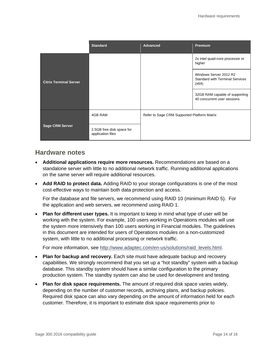|                               | <b>Standard</b>                                | <b>Advanced</b>                             | Premium                                                                   |
|-------------------------------|------------------------------------------------|---------------------------------------------|---------------------------------------------------------------------------|
| <b>Citrix Terminal Server</b> |                                                |                                             | 2x Intel quad-core processor or<br>higher                                 |
|                               |                                                |                                             | Windows Server 2012 R2<br><b>Standard with Terminal Services</b><br>(x64) |
|                               |                                                |                                             | 32GB RAM capable of supporting<br>40 concurrent user sessions             |
| <b>Sage CRM Server</b>        | 4GB RAM                                        | Refer to Sage CRM Supported Platform Matrix |                                                                           |
|                               | 2.5GB free disk space for<br>application files |                                             |                                                                           |

#### **Hardware notes**

- **Additional applications require more resources.** Recommendations are based on a standalone server with little to no additional network traffic. Running additional applications on the same server will require additional resources.
- **Add RAID to protect data.** Adding RAID to your storage configurations is one of the most cost-effective ways to maintain both data protection and access.

For the database and file servers, we recommend using RAID 10 (minimum RAID 5). For the application and web servers, we recommend using RAID 1.

 **Plan for different user types.** It is important to keep in mind what type of user will be working with the system. For example, 100 users working in Operations modules will use the system more intensively than 100 users working in Financial modules. The guidelines in this document are intended for users of Operations modules on a non-customized system, with little to no additional processing or network traffic.

For more information, see http://www.adaptec.com/en-us/solutions/raid\_levels.html.

- **Plan for backup and recovery.** Each site must have adequate backup and recovery capabilities. We strongly recommend that you set up a "hot standby" system with a backup database. This standby system should have a similar configuration to the primary production system. The standby system can also be used for development and testing.
- **Plan for disk space requirements.** The amount of required disk space varies widely, depending on the number of customer records, archiving plans, and backup policies. Required disk space can also vary depending on the amount of information held for each customer. Therefore, it is important to estimate disk space requirements prior to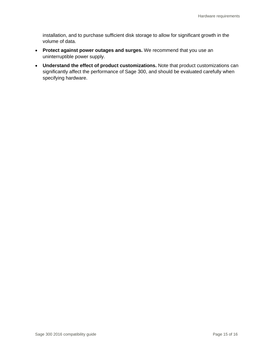installation, and to purchase sufficient disk storage to allow for significant growth in the volume of data.

- **Protect against power outages and surges.** We recommend that you use an uninterruptible power supply.
- **Understand the effect of product customizations.** Note that product customizations can significantly affect the performance of Sage 300, and should be evaluated carefully when specifying hardware.